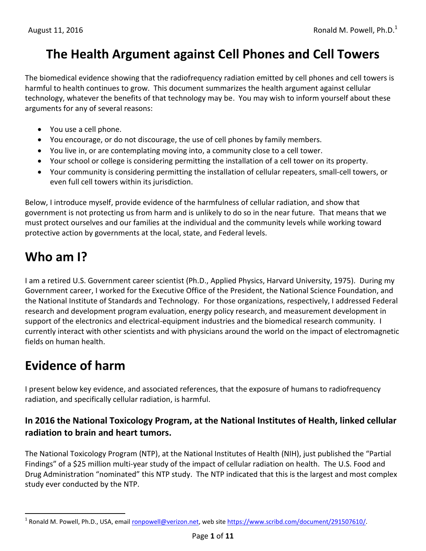# **The Health Argument against Cell Phones and Cell Towers**

The biomedical evidence showing that the radiofrequency radiation emitted by cell phones and cell towers is harmful to health continues to grow. This document summarizes the health argument against cellular technology, whatever the benefits of that technology may be. You may wish to inform yourself about these arguments for any of several reasons:

- You use a cell phone.
- You encourage, or do not discourage, the use of cell phones by family members.
- You live in, or are contemplating moving into, a community close to a cell tower.
- Your school or college is considering permitting the installation of a cell tower on its property.
- Your community is considering permitting the installation of cellular repeaters, small-cell towers, or even full cell towers within its jurisdiction.

Below, I introduce myself, provide evidence of the harmfulness of cellular radiation, and show that government is not protecting us from harm and is unlikely to do so in the near future. That means that we must protect ourselves and our families at the individual and the community levels while working toward protective action by governments at the local, state, and Federal levels.

# **Who am I?**

I am a retired U.S. Government career scientist (Ph.D., Applied Physics, Harvard University, 1975). During my Government career, I worked for the Executive Office of the President, the National Science Foundation, and the National Institute of Standards and Technology. For those organizations, respectively, I addressed Federal research and development program evaluation, energy policy research, and measurement development in support of the electronics and electrical-equipment industries and the biomedical research community. I currently interact with other scientists and with physicians around the world on the impact of electromagnetic fields on human health.

# **Evidence of harm**

 $\overline{a}$ 

I present below key evidence, and associated references, that the exposure of humans to radiofrequency radiation, and specifically cellular radiation, is harmful.

#### **In 2016 the National Toxicology Program, at the National Institutes of Health, linked cellular radiation to brain and heart tumors.**

The National Toxicology Program (NTP), at the National Institutes of Health (NIH), just published the "Partial Findings" of a \$25 million multi-year study of the impact of cellular radiation on health. The U.S. Food and Drug Administration "nominated" this NTP study. The NTP indicated that this is the largest and most complex study ever conducted by the NTP.

<sup>&</sup>lt;sup>1</sup> Ronald M. Powell, Ph.D., USA, email *[ronpowell@verizon.net,](mailto:ronpowell@verizon.net)* web site [https://www.scribd.com/document/291507610/.](https://www.scribd.com/document/291507610/)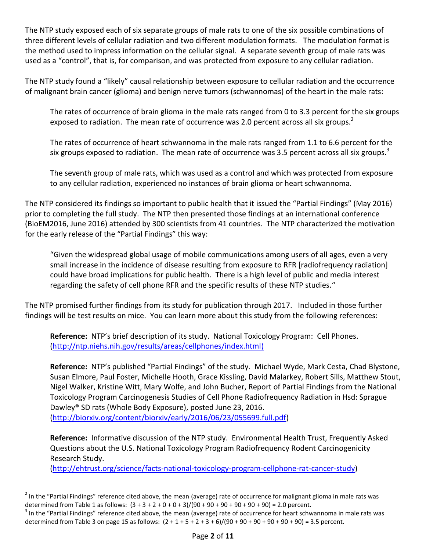The NTP study exposed each of six separate groups of male rats to one of the six possible combinations of three different levels of cellular radiation and two different modulation formats. The modulation format is the method used to impress information on the cellular signal. A separate seventh group of male rats was used as a "control", that is, for comparison, and was protected from exposure to any cellular radiation.

The NTP study found a "likely" causal relationship between exposure to cellular radiation and the occurrence of malignant brain cancer (glioma) and benign nerve tumors (schwannomas) of the heart in the male rats:

The rates of occurrence of brain glioma in the male rats ranged from 0 to 3.3 percent for the six groups exposed to radiation. The mean rate of occurrence was 2.0 percent across all six groups.<sup>2</sup>

The rates of occurrence of heart schwannoma in the male rats ranged from 1.1 to 6.6 percent for the six groups exposed to radiation. The mean rate of occurrence was 3.5 percent across all six groups.<sup>3</sup>

The seventh group of male rats, which was used as a control and which was protected from exposure to any cellular radiation, experienced no instances of brain glioma or heart schwannoma.

The NTP considered its findings so important to public health that it issued the "Partial Findings" (May 2016) prior to completing the full study. The NTP then presented those findings at an international conference (BioEM2016, June 2016) attended by 300 scientists from 41 countries. The NTP characterized the motivation for the early release of the "Partial Findings" this way:

"Given the widespread global usage of mobile communications among users of all ages, even a very small increase in the incidence of disease resulting from exposure to RFR [radiofrequency radiation] could have broad implications for public health. There is a high level of public and media interest regarding the safety of cell phone RFR and the specific results of these NTP studies."

The NTP promised further findings from its study for publication through 2017. Included in those further findings will be test results on mice. You can learn more about this study from the following references:

**Reference:** NTP's brief description of its study. National Toxicology Program: Cell Phones. [\(http://ntp.niehs.nih.gov/results/areas/cellphones/index.html\)](http://ntp.niehs.nih.gov/results/areas/cellphones/index.html)

**Reference:** NTP's published "Partial Findings" of the study. Michael Wyde, Mark Cesta, Chad Blystone, Susan Elmore, Paul Foster, Michelle Hooth, Grace Kissling, David Malarkey, Robert Sills, Matthew Stout, Nigel Walker, Kristine Witt, Mary Wolfe, and John Bucher, Report of Partial Findings from the National Toxicology Program Carcinogenesis Studies of Cell Phone Radiofrequency Radiation in Hsd: Sprague Dawley® SD rats (Whole Body Exposure), posted June 23, 2016. [\(http://biorxiv.org/content/biorxiv/early/2016/06/23/055699.full.pdf\)](http://biorxiv.org/content/biorxiv/early/2016/06/23/055699.full.pdf)

**Reference:** Informative discussion of the NTP study. Environmental Health Trust, Frequently Asked Questions about the U.S. National Toxicology Program Radiofrequency Rodent Carcinogenicity Research Study.

[\(http://ehtrust.org/science/facts-national-toxicology-program-cellphone-rat-cancer-study\)](http://ehtrust.org/science/facts-national-toxicology-program-cellphone-rat-cancer-study)

 $\overline{a}$ 

 $^2$  In the "Partial Findings" reference cited above, the mean (average) rate of occurrence for malignant glioma in male rats was determined from Table 1 as follows:  $(3 + 3 + 2 + 0 + 0 + 3)/(90 + 90 + 90 + 90 + 90 + 90) = 2.0$  percent.

 $^3$  In the "Partial Findings" reference cited above, the mean (average) rate of occurrence for heart schwannoma in male rats was determined from Table 3 on page 15 as follows:  $(2 + 1 + 5 + 2 + 3 + 6)/(90 + 90 + 90 + 90 + 90) = 3.5$  percent.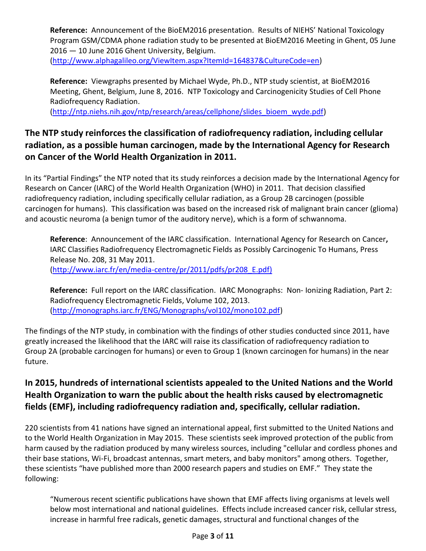**Reference:** Announcement of the BioEM2016 presentation. Results of NIEHS' National Toxicology Program GSM/CDMA phone radiation study to be presented at BioEM2016 Meeting in Ghent, 05 June 2016 — 10 June 2016 Ghent University, Belgium.

[\(http://www.alphagalileo.org/ViewItem.aspx?ItemId=164837&CultureCode=en\)](http://www.alphagalileo.org/ViewItem.aspx?ItemId=164837&CultureCode=en)

**Reference:** Viewgraphs presented by Michael Wyde, Ph.D., NTP study scientist, at BioEM2016 Meeting, Ghent, Belgium, June 8, 2016. NTP Toxicology and Carcinogenicity Studies of Cell Phone Radiofrequency Radiation.

[\(http://ntp.niehs.nih.gov/ntp/research/areas/cellphone/slides\\_bioem\\_wyde.pdf\)](http://ntp.niehs.nih.gov/ntp/research/areas/cellphone/slides_bioem_wyde.pdf)

## **The NTP study reinforces the classification of radiofrequency radiation, including cellular radiation, as a possible human carcinogen, made by the International Agency for Research on Cancer of the World Health Organization in 2011.**

In its "Partial Findings" the NTP noted that its study reinforces a decision made by the International Agency for Research on Cancer (IARC) of the World Health Organization (WHO) in 2011. That decision classified radiofrequency radiation, including specifically cellular radiation, as a Group 2B carcinogen (possible carcinogen for humans). This classification was based on the increased risk of malignant brain cancer (glioma) and acoustic neuroma (a benign tumor of the auditory nerve), which is a form of schwannoma.

**Reference**: Announcement of the IARC classification.International Agency for Research on Cancer**,**  IARC Classifies Radiofrequency Electromagnetic Fields as Possibly Carcinogenic To Humans, Press Release No. 208, 31 May 2011. [\(http://www.iarc.fr/en/media-centre/pr/2011/pdfs/pr208\\_E.pdf\)](http://www.iarc.fr/en/media-centre/pr/2011/pdfs/pr208_E.pdf)

**Reference:** Full report on the IARC classification. IARC Monographs: Non- Ionizing Radiation, Part 2: Radiofrequency Electromagnetic Fields, Volume 102, 2013. [\(http://monographs.iarc.fr/ENG/Monographs/vol102/mono102.pdf\)](http://monographs.iarc.fr/ENG/Monographs/vol102/mono102.pdf)

The findings of the NTP study, in combination with the findings of other studies conducted since 2011, have greatly increased the likelihood that the IARC will raise its classification of radiofrequency radiation to Group 2A (probable carcinogen for humans) or even to Group 1 (known carcinogen for humans) in the near future.

## **In 2015, hundreds of international scientists appealed to the United Nations and the World Health Organization to warn the public about the health risks caused by electromagnetic fields (EMF), including radiofrequency radiation and, specifically, cellular radiation.**

220 scientists from 41 nations have signed an international appeal, first submitted to the United Nations and to the World Health Organization in May 2015. These scientists seek improved protection of the public from harm caused by the radiation produced by many wireless sources, including "cellular and cordless phones and their base stations, Wi-Fi, broadcast antennas, smart meters, and baby monitors" among others. Together, these scientists "have published more than 2000 research papers and studies on EMF." They state the following:

"Numerous recent scientific publications have shown that EMF affects living organisms at levels well below most international and national guidelines. Effects include increased cancer risk, cellular stress, increase in harmful free radicals, genetic damages, structural and functional changes of the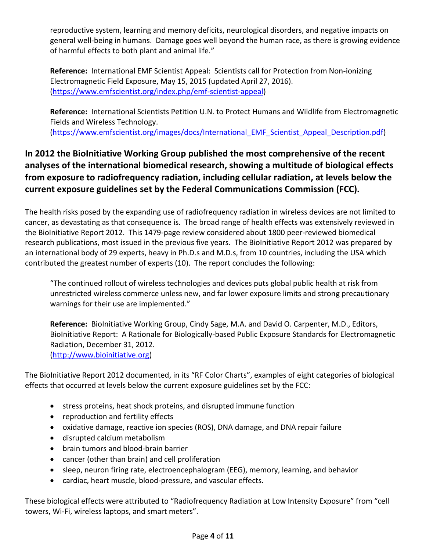reproductive system, learning and memory deficits, neurological disorders, and negative impacts on general well-being in humans. Damage goes well beyond the human race, as there is growing evidence of harmful effects to both plant and animal life."

**Reference:** International EMF Scientist Appeal: Scientists call for Protection from Non-ionizing Electromagnetic Field Exposure, May 15, 2015 (updated April 27, 2016). [\(https://www.emfscientist.org/index.php/emf-scientist-appeal\)](https://www.emfscientist.org/index.php/emf-scientist-appeal)

**Reference:** International Scientists Petition U.N. to Protect Humans and Wildlife from Electromagnetic Fields and Wireless Technology.

[\(https://www.emfscientist.org/images/docs/International\\_EMF\\_Scientist\\_Appeal\\_Description.pdf\)](https://www.emfscientist.org/images/docs/International_EMF_Scientist_Appeal_Description.pdf)

## **In 2012 the BioInitiative Working Group published the most comprehensive of the recent analyses of the international biomedical research, showing a multitude of biological effects from exposure to radiofrequency radiation, including cellular radiation, at levels below the current exposure guidelines set by the Federal Communications Commission (FCC).**

The health risks posed by the expanding use of radiofrequency radiation in wireless devices are not limited to cancer, as devastating as that consequence is. The broad range of health effects was extensively reviewed in the BioInitiative Report 2012. This 1479-page review considered about 1800 peer-reviewed biomedical research publications, most issued in the previous five years. The BioInitiative Report 2012 was prepared by an international body of 29 experts, heavy in Ph.D.s and M.D.s, from 10 countries, including the USA which contributed the greatest number of experts (10). The report concludes the following:

"The continued rollout of wireless technologies and devices puts global public health at risk from unrestricted wireless commerce unless new, and far lower exposure limits and strong precautionary warnings for their use are implemented."

**Reference:** BioInitiative Working Group, Cindy Sage, M.A. and David O. Carpenter, M.D., Editors, BioInitiative Report: A Rationale for Biologically-based Public Exposure Standards for Electromagnetic Radiation, December 31, 2012. [\(http://www.bioinitiative.org\)](http://www.bioinitiative.org/)

The BioInitiative Report 2012 documented, in its "RF Color Charts", examples of eight categories of biological effects that occurred at levels below the current exposure guidelines set by the FCC:

- stress proteins, heat shock proteins, and disrupted immune function
- reproduction and fertility effects
- oxidative damage, reactive ion species (ROS), DNA damage, and DNA repair failure
- disrupted calcium metabolism
- brain tumors and blood-brain barrier
- cancer (other than brain) and cell proliferation
- sleep, neuron firing rate, electroencephalogram (EEG), memory, learning, and behavior
- cardiac, heart muscle, blood-pressure, and vascular effects.

These biological effects were attributed to "Radiofrequency Radiation at Low Intensity Exposure" from "cell towers, Wi-Fi, wireless laptops, and smart meters".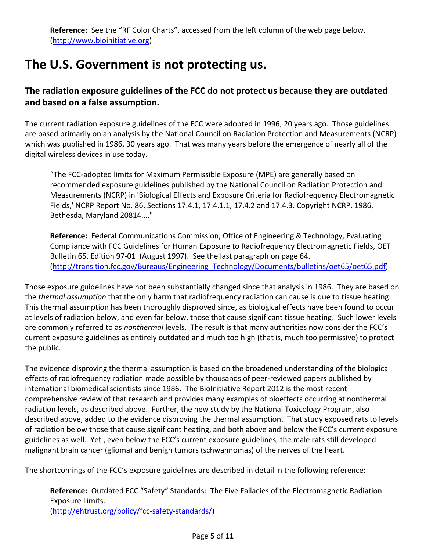# **The U.S. Government is not protecting us.**

### **The radiation exposure guidelines of the FCC do not protect us because they are outdated and based on a false assumption.**

The current radiation exposure guidelines of the FCC were adopted in 1996, 20 years ago. Those guidelines are based primarily on an analysis by the National Council on Radiation Protection and Measurements (NCRP) which was published in 1986, 30 years ago. That was many years before the emergence of nearly all of the digital wireless devices in use today.

"The FCC-adopted limits for Maximum Permissible Exposure (MPE) are generally based on recommended exposure guidelines published by the National Council on Radiation Protection and Measurements (NCRP) in 'Biological Effects and Exposure Criteria for Radiofrequency Electromagnetic Fields,' NCRP Report No. 86, Sections 17.4.1, 17.4.1.1, 17.4.2 and 17.4.3. Copyright NCRP, 1986, Bethesda, Maryland 20814...."

**Reference:** Federal Communications Commission, Office of Engineering & Technology, Evaluating Compliance with FCC Guidelines for Human Exposure to Radiofrequency Electromagnetic Fields, OET Bulletin 65, Edition 97-01 (August 1997). See the last paragraph on page 64. [\(http://transition.fcc.gov/Bureaus/Engineering\\_Technology/Documents/bulletins/oet65/oet65.pdf\)](http://transition.fcc.gov/Bureaus/Engineering_Technology/Documents/bulletins/oet65/oet65.pdf)

Those exposure guidelines have not been substantially changed since that analysis in 1986. They are based on the *thermal assumption* that the only harm that radiofrequency radiation can cause is due to tissue heating. This thermal assumption has been thoroughly disproved since, as biological effects have been found to occur at levels of radiation below, and even far below, those that cause significant tissue heating. Such lower levels are commonly referred to as *nonthermal* levels. The result is that many authorities now consider the FCC's current exposure guidelines as entirely outdated and much too high (that is, much too permissive) to protect the public.

The evidence disproving the thermal assumption is based on the broadened understanding of the biological effects of radiofrequency radiation made possible by thousands of peer-reviewed papers published by international biomedical scientists since 1986. The BioInitiative Report 2012 is the most recent comprehensive review of that research and provides many examples of bioeffects occurring at nonthermal radiation levels, as described above. Further, the new study by the National Toxicology Program, also described above, added to the evidence disproving the thermal assumption. That study exposed rats to levels of radiation below those that cause significant heating, and both above and below the FCC's current exposure guidelines as well. Yet , even below the FCC's current exposure guidelines, the male rats still developed malignant brain cancer (glioma) and benign tumors (schwannomas) of the nerves of the heart.

The shortcomings of the FCC's exposure guidelines are described in detail in the following reference:

**Reference:** Outdated FCC "Safety" Standards: The Five Fallacies of the Electromagnetic Radiation Exposure Limits. [\(http://ehtrust.org/policy/fcc-safety-standards/\)](http://ehtrust.org/policy/fcc-safety-standards/)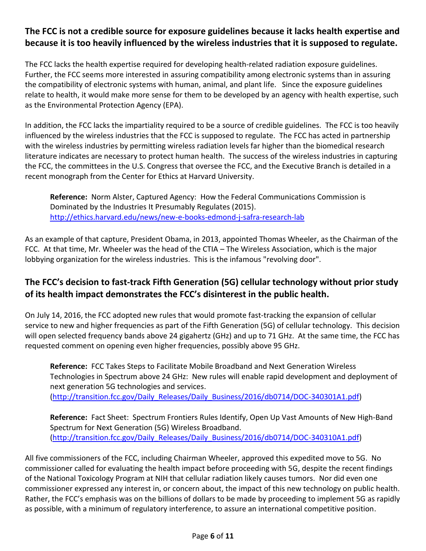#### **The FCC is not a credible source for exposure guidelines because it lacks health expertise and because it is too heavily influenced by the wireless industries that it is supposed to regulate.**

The FCC lacks the health expertise required for developing health-related radiation exposure guidelines. Further, the FCC seems more interested in assuring compatibility among electronic systems than in assuring the compatibility of electronic systems with human, animal, and plant life. Since the exposure guidelines relate to health, it would make more sense for them to be developed by an agency with health expertise, such as the Environmental Protection Agency (EPA).

In addition, the FCC lacks the impartiality required to be a source of credible guidelines. The FCC is too heavily influenced by the wireless industries that the FCC is supposed to regulate. The FCC has acted in partnership with the wireless industries by permitting wireless radiation levels far higher than the biomedical research literature indicates are necessary to protect human health. The success of the wireless industries in capturing the FCC, the committees in the U.S. Congress that oversee the FCC, and the Executive Branch is detailed in a recent monograph from the Center for Ethics at Harvard University.

**Reference:** Norm Alster, Captured Agency: How the Federal Communications Commission is Dominated by the Industries It Presumably Regulates (2015). <http://ethics.harvard.edu/news/new-e-books-edmond-j-safra-research-lab>

As an example of that capture, President Obama, in 2013, appointed Thomas Wheeler, as the Chairman of the FCC. At that time, Mr. Wheeler was the head of the CTIA – The Wireless Association, which is the major lobbying organization for the wireless industries. This is the infamous "revolving door".

## **The FCC's decision to fast-track Fifth Generation (5G) cellular technology without prior study of its health impact demonstrates the FCC's disinterest in the public health.**

On July 14, 2016, the FCC adopted new rules that would promote fast-tracking the expansion of cellular service to new and higher frequencies as part of the Fifth Generation (5G) of cellular technology. This decision will open selected frequency bands above 24 gigahertz (GHz) and up to 71 GHz. At the same time, the FCC has requested comment on opening even higher frequencies, possibly above 95 GHz.

**Reference:** FCC Takes Steps to Facilitate Mobile Broadband and Next Generation Wireless Technologies in Spectrum above 24 GHz: New rules will enable rapid development and deployment of next generation 5G technologies and services. [\(http://transition.fcc.gov/Daily\\_Releases/Daily\\_Business/2016/db0714/DOC-340301A1.pdf\)](http://transition.fcc.gov/Daily_Releases/Daily_Business/2016/db0714/DOC-340301A1.pdf)

**Reference:** Fact Sheet: Spectrum Frontiers Rules Identify, Open Up Vast Amounts of New High-Band Spectrum for Next Generation (5G) Wireless Broadband. [\(http://transition.fcc.gov/Daily\\_Releases/Daily\\_Business/2016/db0714/DOC-340310A1.pdf\)](http://transition.fcc.gov/Daily_Releases/Daily_Business/2016/db0714/DOC-340310A1.pdf)

All five commissioners of the FCC, including Chairman Wheeler, approved this expedited move to 5G. No commissioner called for evaluating the health impact before proceeding with 5G, despite the recent findings of the National Toxicology Program at NIH that cellular radiation likely causes tumors. Nor did even one commissioner expressed any interest in, or concern about, the impact of this new technology on public health. Rather, the FCC's emphasis was on the billions of dollars to be made by proceeding to implement 5G as rapidly as possible, with a minimum of regulatory interference, to assure an international competitive position.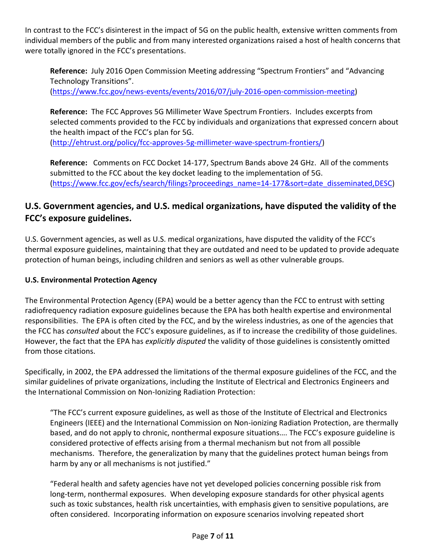In contrast to the FCC's disinterest in the impact of 5G on the public health, extensive written comments from individual members of the public and from many interested organizations raised a host of health concerns that were totally ignored in the FCC's presentations.

**Reference:** July 2016 Open Commission Meeting addressing "Spectrum Frontiers" and "Advancing Technology Transitions".

[\(https://www.fcc.gov/news-events/events/2016/07/july-2016-open-commission-meeting\)](https://www.fcc.gov/news-events/events/2016/07/july-2016-open-commission-meeting)

**Reference:** The FCC Approves 5G Millimeter Wave Spectrum Frontiers. Includes excerpts from selected comments provided to the FCC by individuals and organizations that expressed concern about the health impact of the FCC's plan for 5G. [\(http://ehtrust.org/policy/fcc-approves-5g-millimeter-wave-spectrum-frontiers/\)](http://ehtrust.org/policy/fcc-approves-5g-millimeter-wave-spectrum-frontiers/)

**Reference:** Comments on FCC Docket 14-177, Spectrum Bands above 24 GHz. All of the comments submitted to the FCC about the key docket leading to the implementation of 5G. [\(https://www.fcc.gov/ecfs/search/filings?proceedings\\_name=14-177&sort=date\\_disseminated,DESC\)](https://www.fcc.gov/ecfs/search/filings?proceedings_name=14-177&sort=date_disseminated,DESC)

## **U.S. Government agencies, and U.S. medical organizations, have disputed the validity of the FCC's exposure guidelines.**

U.S. Government agencies, as well as U.S. medical organizations, have disputed the validity of the FCC's thermal exposure guidelines, maintaining that they are outdated and need to be updated to provide adequate protection of human beings, including children and seniors as well as other vulnerable groups.

#### **U.S. Environmental Protection Agency**

The Environmental Protection Agency (EPA) would be a better agency than the FCC to entrust with setting radiofrequency radiation exposure guidelines because the EPA has both health expertise and environmental responsibilities. The EPA is often cited by the FCC, and by the wireless industries, as one of the agencies that the FCC has *consulted* about the FCC's exposure guidelines, as if to increase the credibility of those guidelines. However, the fact that the EPA has *explicitly disputed* the validity of those guidelines is consistently omitted from those citations.

Specifically, in 2002, the EPA addressed the limitations of the thermal exposure guidelines of the FCC, and the similar guidelines of private organizations, including the Institute of Electrical and Electronics Engineers and the International Commission on Non-Ionizing Radiation Protection:

"The FCC's current exposure guidelines, as well as those of the Institute of Electrical and Electronics Engineers (IEEE) and the International Commission on Non-ionizing Radiation Protection, are thermally based, and do not apply to chronic, nonthermal exposure situations…. The FCC's exposure guideline is considered protective of effects arising from a thermal mechanism but not from all possible mechanisms. Therefore, the generalization by many that the guidelines protect human beings from harm by any or all mechanisms is not justified."

"Federal health and safety agencies have not yet developed policies concerning possible risk from long-term, nonthermal exposures. When developing exposure standards for other physical agents such as toxic substances, health risk uncertainties, with emphasis given to sensitive populations, are often considered. Incorporating information on exposure scenarios involving repeated short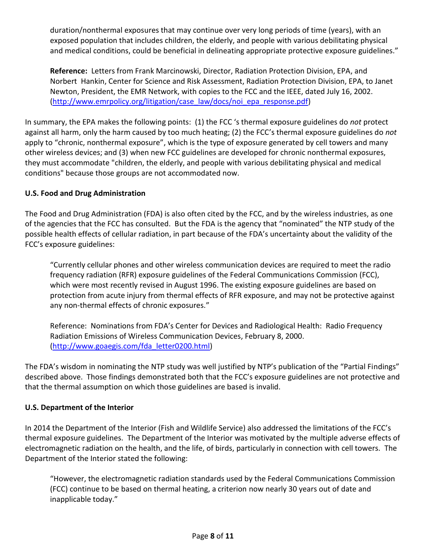duration/nonthermal exposures that may continue over very long periods of time (years), with an exposed population that includes children, the elderly, and people with various debilitating physical and medical conditions, could be beneficial in delineating appropriate protective exposure guidelines."

**Reference:** Letters from Frank Marcinowski, Director, Radiation Protection Division, EPA, and Norbert Hankin, Center for Science and Risk Assessment, Radiation Protection Division, EPA, to Janet Newton, President, the EMR Network, with copies to the FCC and the IEEE, dated July 16, 2002. [\(http://www.emrpolicy.org/litigation/case\\_law/docs/noi\\_epa\\_response.pdf\)](http://www.emrpolicy.org/litigation/case_law/docs/noi_epa_response.pdf)

In summary, the EPA makes the following points: (1) the FCC 's thermal exposure guidelines do *not* protect against all harm, only the harm caused by too much heating; (2) the FCC's thermal exposure guidelines do *not* apply to "chronic, nonthermal exposure", which is the type of exposure generated by cell towers and many other wireless devices; and (3) when new FCC guidelines are developed for chronic nonthermal exposures, they must accommodate "children, the elderly, and people with various debilitating physical and medical conditions" because those groups are not accommodated now.

#### **U.S. Food and Drug Administration**

The Food and Drug Administration (FDA) is also often cited by the FCC, and by the wireless industries, as one of the agencies that the FCC has consulted. But the FDA is the agency that "nominated" the NTP study of the possible health effects of cellular radiation, in part because of the FDA's uncertainty about the validity of the FCC's exposure guidelines:

"Currently cellular phones and other wireless communication devices are required to meet the radio frequency radiation (RFR) exposure guidelines of the Federal Communications Commission (FCC), which were most recently revised in August 1996. The existing exposure guidelines are based on protection from acute injury from thermal effects of RFR exposure, and may not be protective against any non-thermal effects of chronic exposures."

Reference: Nominations from FDA's Center for Devices and Radiological Health: Radio Frequency Radiation Emissions of Wireless Communication Devices, February 8, 2000. [\(http://www.goaegis.com/fda\\_letter0200.html\)](http://www.goaegis.com/fda_letter0200.html)

The FDA's wisdom in nominating the NTP study was well justified by NTP's publication of the "Partial Findings" described above. Those findings demonstrated both that the FCC's exposure guidelines are not protective and that the thermal assumption on which those guidelines are based is invalid.

#### **U.S. Department of the Interior**

In 2014 the Department of the Interior (Fish and Wildlife Service) also addressed the limitations of the FCC's thermal exposure guidelines. The Department of the Interior was motivated by the multiple adverse effects of electromagnetic radiation on the health, and the life, of birds, particularly in connection with cell towers. The Department of the Interior stated the following:

"However, the electromagnetic radiation standards used by the Federal Communications Commission (FCC) continue to be based on thermal heating, a criterion now nearly 30 years out of date and inapplicable today."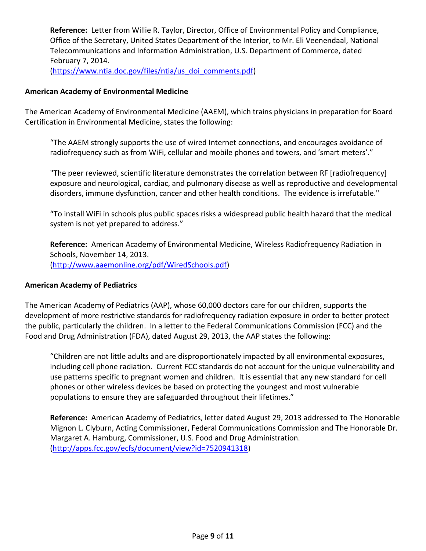**Reference:** Letter from Willie R. Taylor, Director, Office of Environmental Policy and Compliance, Office of the Secretary, United States Department of the Interior, to Mr. Eli Veenendaal, National Telecommunications and Information Administration, U.S. Department of Commerce, dated February 7, 2014. [\(https://www.ntia.doc.gov/files/ntia/us\\_doi\\_comments.pdf\)](https://www.ntia.doc.gov/files/ntia/us_doi_comments.pdf)

#### **American Academy of Environmental Medicine**

The American Academy of Environmental Medicine (AAEM), which trains physicians in preparation for Board Certification in Environmental Medicine, states the following:

"The AAEM strongly supports the use of wired Internet connections, and encourages avoidance of radiofrequency such as from WiFi, cellular and mobile phones and towers, and 'smart meters'."

"The peer reviewed, scientific literature demonstrates the correlation between RF [radiofrequency] exposure and neurological, cardiac, and pulmonary disease as well as reproductive and developmental disorders, immune dysfunction, cancer and other health conditions. The evidence is irrefutable."

"To install WiFi in schools plus public spaces risks a widespread public health hazard that the medical system is not yet prepared to address."

**Reference:** American Academy of Environmental Medicine, Wireless Radiofrequency Radiation in Schools, November 14, 2013. [\(http://www.aaemonline.org/pdf/WiredSchools.pdf\)](http://www.aaemonline.org/pdf/WiredSchools.pdf)

#### **American Academy of Pediatrics**

The American Academy of Pediatrics (AAP), whose 60,000 doctors care for our children, supports the development of more restrictive standards for radiofrequency radiation exposure in order to better protect the public, particularly the children. In a letter to the Federal Communications Commission (FCC) and the Food and Drug Administration (FDA), dated August 29, 2013, the AAP states the following:

"Children are not little adults and are disproportionately impacted by all environmental exposures, including cell phone radiation. Current FCC standards do not account for the unique vulnerability and use patterns specific to pregnant women and children. It is essential that any new standard for cell phones or other wireless devices be based on protecting the youngest and most vulnerable populations to ensure they are safeguarded throughout their lifetimes."

**Reference:** American Academy of Pediatrics, letter dated August 29, 2013 addressed to The Honorable Mignon L. Clyburn, Acting Commissioner, Federal Communications Commission and The Honorable Dr. Margaret A. Hamburg, Commissioner, U.S. Food and Drug Administration. [\(http://apps.fcc.gov/ecfs/document/view?id=7520941318\)](http://apps.fcc.gov/ecfs/document/view?id=7520941318)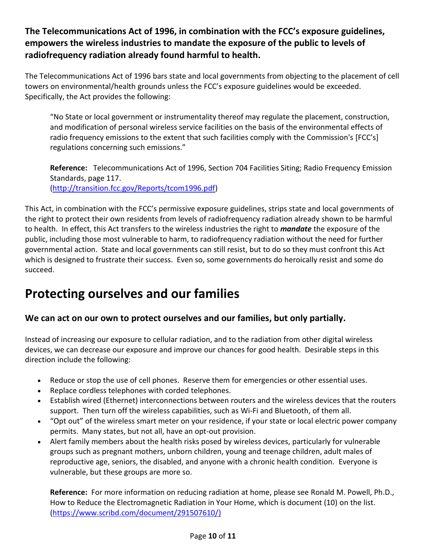### **The Telecommunications Act of 1996, in combination with the FCC's exposure guidelines, empowers the wireless industries to mandate the exposure of the public to levels of radiofrequency radiation already found harmful to health.**

The Telecommunications Act of 1996 bars state and local governments from objecting to the placement of cell towers on environmental/health grounds unless the FCC's exposure guidelines would be exceeded. Specifically, the Act provides the following:

"No State or local government or instrumentality thereof may regulate the placement, construction, and modification of personal wireless service facilities on the basis of the environmental effects of radio frequency emissions to the extent that such facilities comply with the Commission's [FCC's] regulations concerning such emissions."

**Reference:** Telecommunications Act of 1996, Section 704 Facilities Siting; Radio Frequency Emission Standards, page 117.

[\(http://transition.fcc.gov/Reports/tcom1996.pdf\)](http://transition.fcc.gov/Reports/tcom1996.pdf)

This Act, in combination with the FCC's permissive exposure guidelines, strips state and local governments of the right to protect their own residents from levels of radiofrequency radiation already shown to be harmful to health. In effect, this Act transfers to the wireless industries the right to *mandate* the exposure of the public, including those most vulnerable to harm, to radiofrequency radiation without the need for further governmental action. State and local governments can still resist, but to do so they must confront this Act which is designed to frustrate their success. Even so, some governments do heroically resist and some do succeed.

# **Protecting ourselves and our families**

### **We can act on our own to protect ourselves and our families, but only partially.**

Instead of increasing our exposure to cellular radiation, and to the radiation from other digital wireless devices, we can decrease our exposure and improve our chances for good health. Desirable steps in this direction include the following:

- Reduce or stop the use of cell phones. Reserve them for emergencies or other essential uses.
- Replace cordless telephones with corded telephones.
- Establish wired (Ethernet) interconnections between routers and the wireless devices that the routers support. Then turn off the wireless capabilities, such as Wi-Fi and Bluetooth, of them all.
- "Opt out" of the wireless smart meter on your residence, if your state or local electric power company permits. Many states, but not all, have an opt-out provision.
- Alert family members about the health risks posed by wireless devices, particularly for vulnerable groups such as pregnant mothers, unborn children, young and teenage children, adult males of reproductive age, seniors, the disabled, and anyone with a chronic health condition. Everyone is vulnerable, but these groups are more so.

**Reference:** For more information on reducing radiation at home, please see Ronald M. Powell, Ph.D., How to Reduce the Electromagnetic Radiation in Your Home, which is document (10) on the list. [\(https://www.scribd.com/document/291507610/\)](https://www.scribd.com/document/291507610/)